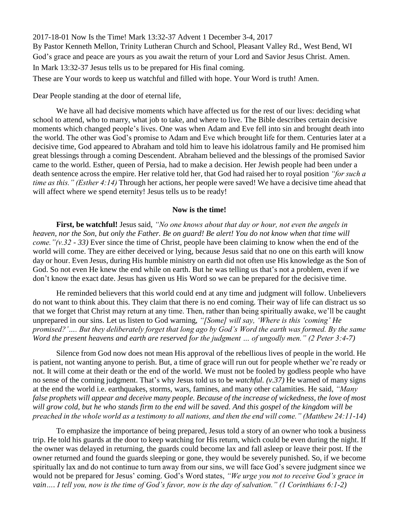2017-18-01 Now Is the Time! Mark 13:32-37 Advent 1 December 3-4, 2017 By Pastor Kenneth Mellon, Trinity Lutheran Church and School, Pleasant Valley Rd., West Bend, WI God's grace and peace are yours as you await the return of your Lord and Savior Jesus Christ. Amen. In Mark 13:32-37 Jesus tells us to be prepared for His final coming. These are Your words to keep us watchful and filled with hope. Your Word is truth! Amen.

## Dear People standing at the door of eternal life,

We have all had decisive moments which have affected us for the rest of our lives: deciding what school to attend, who to marry, what job to take, and where to live. The Bible describes certain decisive moments which changed people's lives. One was when Adam and Eve fell into sin and brought death into the world. The other was God's promise to Adam and Eve which brought life for them. Centuries later at a decisive time, God appeared to Abraham and told him to leave his idolatrous family and He promised him great blessings through a coming Descendent. Abraham believed and the blessings of the promised Savior came to the world. Esther, queen of Persia, had to make a decision. Her Jewish people had been under a death sentence across the empire. Her relative told her, that God had raised her to royal position *"for such a time as this." (Esther 4:14)* Through her actions, her people were saved! We have a decisive time ahead that will affect where we spend eternity! Jesus tells us to be ready!

## **Now is the time!**

**First, be watchful!** Jesus said, *"No one knows about that day or hour, not even the angels in heaven, nor the Son, but only the Father. Be on guard! Be alert! You do not know when that time will come."(v.32 - 33)* Ever since the time of Christ, people have been claiming to know when the end of the world will come. They are either deceived or lying, because Jesus said that no one on this earth will know day or hour. Even Jesus, during His humble ministry on earth did not often use His knowledge as the Son of God. So not even He knew the end while on earth. But he was telling us that's not a problem, even if we don't know the exact date. Jesus has given us His Word so we can be prepared for the decisive time.

He reminded believers that this world could end at any time and judgment will follow. Unbelievers do not want to think about this. They claim that there is no end coming. Their way of life can distract us so that we forget that Christ may return at any time. Then, rather than being spiritually awake, we'll be caught unprepared in our sins. Let us listen to God warning, *"[Some] will say, 'Where is this 'coming' He promised?'…. But they deliberately forget that long ago by God's Word the earth was formed. By the same Word the present heavens and earth are reserved for the judgment … of ungodly men." (2 Peter 3:4-7)*

Silence from God now does not mean His approval of the rebellious lives of people in the world. He is patient, not wanting anyone to perish. But, a time of grace will run out for people whether we're ready or not. It will come at their death or the end of the world. We must not be fooled by godless people who have no sense of the coming judgment. That's why Jesus told us to be *watchful. (v.37)* He warned of many signs at the end the world i.e. earthquakes, storms, wars, famines, and many other calamities. He said, *"Many false prophets will appear and deceive many people. Because of the increase of wickedness, the love of most will grow cold, but he who stands firm to the end will be saved. And this gospel of the kingdom will be preached in the whole world as a testimony to all nations, and then the end will come." (Matthew 24:11-14)* 

To emphasize the importance of being prepared, Jesus told a story of an owner who took a business trip. He told his guards at the door to keep watching for His return, which could be even during the night. If the owner was delayed in returning, the guards could become lax and fall asleep or leave their post. If the owner returned and found the guards sleeping or gone, they would be severely punished. So, if we become spiritually lax and do not continue to turn away from our sins, we will face God's severe judgment since we would not be prepared for Jesus' coming. God's Word states, *"We urge you not to receive God's grace in vain…. I tell you, now is the time of God's favor, now is the day of salvation." (1 Corinthians 6:1-2)*